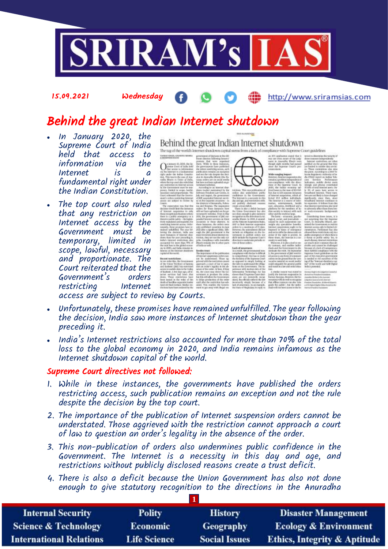

### 15.09.2021 Wednesday

### http://www.sriramsias.com

# Behind the great Indian Internet shutdown

- In January 2020, the Supreme Court of India held that access to information Internet is a fundamental right under the Indian Constitution.
- The top court also ruled that any restriction on Internet access by the Government must be temporary, limited in scope, lawful, necessary and proportionate. The Court reiterated that the Government's orders restricting

Behind the great Indian Internet shutdown

The rag of the world's lowernet shundown capital stems from a lack of compitance with Supreme Court guidelines

access are subject to review by Courts.

- Unfortunately, these promises have remained unfulfilled. The year following the decision, India saw more instances of Internet shutdown than the year preceding it.
- India's Internet restrictions also accounted for more than 70% of the total loss to the global economy in 2020, and India remains infamous as the Internet shutdown capital of the world.

### Supreme Court directives not followed:

- 1. While in these instances, the governments have published the orders restricting access, such publication remains an exception and not the rule despite the decision by the top court.
- 2. The importance of the publication of Internet suspension orders cannot be understated. Those aggrieved with the restriction cannot approach a court of law to question an order's legality in the absence of the order.
- 3. This non-publication of orders also undermines public confidence in the Government. The Internet is a necessity in this day and age, and restrictions without publicly disclosed reasons create a trust deficit.
- 4. There is also a deficit because the Union Government has also not done enough to give statutory recognition to the directions in the Anuradha

| <b>Internal Security</b>        | <b>Polity</b>       | <b>History</b>       | <b>Disaster Management</b>              |
|---------------------------------|---------------------|----------------------|-----------------------------------------|
| <b>Science &amp; Technology</b> | <b>Economic</b>     | Geography            | <b>Ecology &amp; Environment</b>        |
| <b>International Relations</b>  | <b>Life Science</b> | <b>Social Issues</b> | <b>Ethics, Integrity &amp; Aptitude</b> |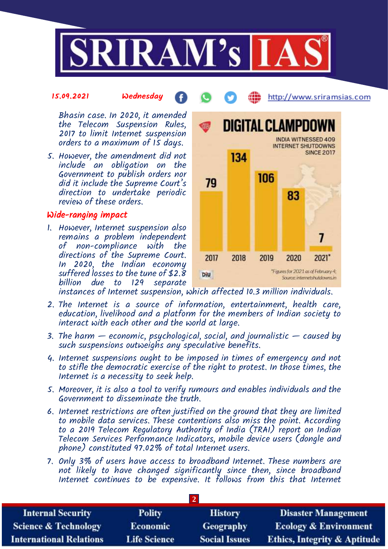

### 15.09.2021 Wednesday

Bhasin case. In 2020, it amended the Telecom Suspension Rules, 2017 to limit Internet suspension orders to a maximum of 15 days.

5. However, the amendment did not include an obligation on the Government to publish orders nor did it include the Supreme Court's direction to undertake periodic review of these orders.

# Wide-ranging impact

1. However, Internet suspension also remains a problem independent of non-compliance with the directions of the Supreme Court. In 2020, the Indian economy suffered losses to the tune of \$2.8 billion due to 129 separate



http://www.sriramsias.com

instances of Internet suspension, which affected 10.3 million individuals.

- 2. The Internet is a source of information, entertainment, health care, education, livelihood and a platform for the members of Indian society to interact with each other and the world at large.
- 3. The harm  $-$  economic, psychological, social, and journalistic  $-$  caused by such suspensions outweighs any speculative benefits.
- 4. Internet suspensions ought to be imposed in times of emergency and not to stifle the democratic exercise of the right to protest. In those times, the Internet is a necessity to seek help.
- 5. Moreover, it is also a tool to verify rumours and enables individuals and the Government to disseminate the truth.
- 6. Internet restrictions are often justified on the ground that they are limited to mobile data services. These contentions also miss the point. According to a 2019 Telecom Regulatory Authority of India (TRAI) report on Indian Telecom Services Performance Indicators, mobile device users (dongle and phone) constituted 97.02% of total Internet users.
- 7. Only 3% of users have access to broadband Internet. These numbers are not likely to have changed significantly since then, since broadband Internet continues to be expensive. It follows from this that Internet

| <b>Internal Security</b>        | <b>Polity</b>       | <b>History</b>       | <b>Disaster Management</b>              |
|---------------------------------|---------------------|----------------------|-----------------------------------------|
| <b>Science &amp; Technology</b> | <b>Economic</b>     | Geography            | <b>Ecology &amp; Environment</b>        |
| <b>International Relations</b>  | <b>Life Science</b> | <b>Social Issues</b> | <b>Ethics, Integrity &amp; Aptitude</b> |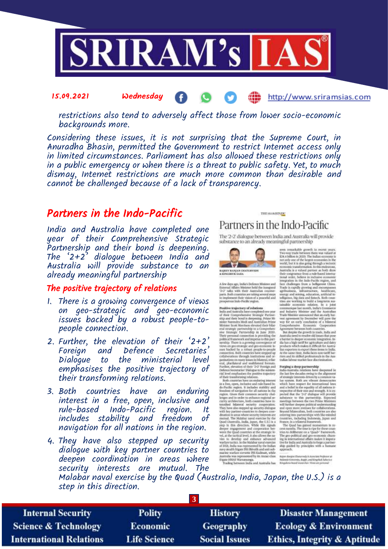

restrictions also tend to adversely affect those from lower socio-economic backgrounds more.

Considering these issues, it is not surprising that the Supreme Court, in Anuradha Bhasin, permitted the Government to restrict Internet access only in limited circumstances. Parliament has also allowed these restrictions only in a public emergency or when there is a threat to public safety. Yet, to much dismay, Internet restrictions are much more common than desirable and cannot be challenged because of a lack of transparency.

# Partners in the Indo-Pacific

15.09.2021 Wednesday

India and Australia have completed one year of their Comprehensive Strategic Partnership and their bond is deepening. The  $2+2$ <sup>5</sup> dialogue between India and Australia will provide substance to an already meaningful partnership

### The positive trajectory of relations

- 1. There is a growing convergence of views on geo-strategic and geo-economic issues backed by a robust people-topeople connection.
- 2. Further, the elevation of their  $2+2$ Foreign and Defence Secretaries' Dialogue to the ministerial level emphasises the positive trajectory of their transforming relations. There is a growing convergence of views<br>
issues backed by a robust people-to-<br>
issues backed by a robust people-to-<br>
representation of their '2+2'<br>
Foreign and befence Secretaries'<br>
Foreign and befence Secretaries'<br>
Dialog
- 3. Both countries have an enduring interest in a free, open, inclusive and rule-based Indo-Pacific region. It includes stability and freedom of navigation for all nations in the region.
- 4. They have also stepped up security dialogue with key partner countries to deepen coordination in areas where security interests are mutual. The

# step in this direction.

| <b>Internal Security</b>        | <b>Polity</b>       | <b>History</b>       | <b>Disaster Management</b>              |
|---------------------------------|---------------------|----------------------|-----------------------------------------|
| <b>Science &amp; Technology</b> | <b>Economic</b>     | Geography            | <b>Ecology &amp; Environment</b>        |
| <b>International Relations</b>  | <b>Life Science</b> | <b>Social Issues</b> | <b>Ethics, Integrity &amp; Aptitude</b> |

### THE SUBJENDE Partners in the Indo-Pacific

æ

The 2-2 dialogue between India and Australia will provide substance to an already meaningful partnership



A fow days ago, indicts Defence Minister and finiture and finite<br>rual Affairs Minister held the inangural  $2\nu2^*$  talks with their<br> $A$  mitualisations continue and incommutations of the<br>process target steps to implement t

 $\label{eq:20}$  imply<br>the proton partitic growth in recent years are must<br>able growth in recent years 1970 wears and the behavior of the limit<br>in coronary is that a bifurce in the state of the limits extended in the<br> $14.4$  bif

http://www.sriramsias.com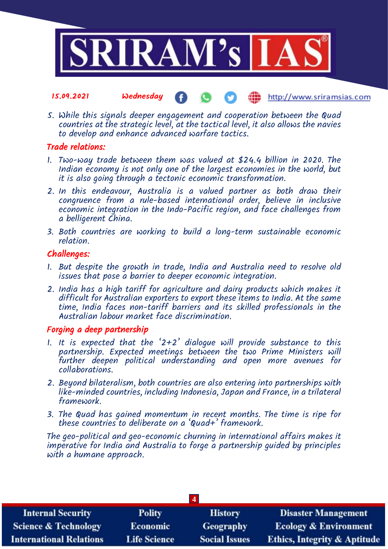

### 15.09.2021 Wednesday æ http://www.sriramsias.com

5. While this signals deeper engagement and cooperation between the Quad countries at the strategic level, at the tactical level, it also allows the navies to develop and enhance advanced warfare tactics.

## Trade relations:

- 1. Two-way trade between them was valued at \$24.4 billion in 2020. The Indian economy is not only one of the largest economies in the world, but it is also going through a tectonic economic transformation.
- 2. In this endeavour, Australia is a valued partner as both draw their congruence from a rule-based international order, believe in inclusive economic integration in the Indo-Pacific region, and face challenges from a belligerent China.
- 3. Both countries are working to build a long-term sustainable economic relation.

## Challenges:

- 1. But despite the growth in trade, India and Australia need to resolve old issues that pose a barrier to deeper economic integration.
- 2. India has a high tariff for agriculture and dairy products which makes it difficult for Australian exporters to export these items to India. At the same time, India faces non-tariff barriers and its skilled professionals in the Australian labour market face discrimination.

## Forging a deep partnership

- 1. It is expected that the '2+2' dialogue will provide substance to this partnership. Expected meetings between the two Prime Ministers will further deepen political understanding and open more avenues for collaborations.
- 2. Beyond bilateralism, both countries are also entering into partnerships with like-minded countries, including Indonesia, Japan and France, in a trilateral framework.
- 3. The Quad has gained momentum in recent months. The time is ripe for these countries to deliberate on a 'Quad+' framework.

The geo-political and geo-economic churning in international affairs makes it imperative for India and Australia to forge a partnership guided by principles with a humane approach.

| $\overline{\mathbf{4}}$         |                     |                      |                                         |
|---------------------------------|---------------------|----------------------|-----------------------------------------|
| <b>Internal Security</b>        | <b>Polity</b>       | <b>History</b>       | <b>Disaster Management</b>              |
| <b>Science &amp; Technology</b> | <b>Economic</b>     | <b>Geography</b>     | <b>Ecology &amp; Environment</b>        |
| <b>International Relations</b>  | <b>Life Science</b> | <b>Social Issues</b> | <b>Ethics, Integrity &amp; Aptitude</b> |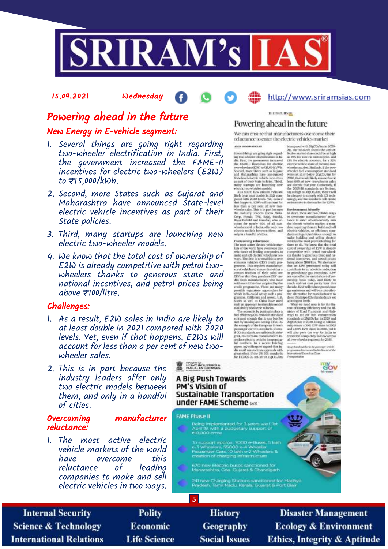

15.09.2021 Wednesday

# Powering ahead in the future

### New Energy in E-vehicle segment:

- 1. Several things are going right regarding two-wheeler electrification in India. First, the government increased the FAME-II incentives for electric two-wheelers (E2W) to ₹15,000/kWh.
- 2. Second, more States such as Gujarat and Maharashtra have announced State-level electric vehicle incentives as part of their State policies.
- 3. Third, many startups are launching new electric two-wheeler models.
- 4. We know that the total cost of ownership of E2W is already competitive with petrol twowheelers thanks to generous state and national incentives, and petrol prices being above ₹100/litre.

### Challenges:

- 1. As a result, E2W sales in India are likely to at least double in 2021 compared with 2020 levels. Yet, even if that happens, E2Ws will account for less than a per cent of new twowheeler sales.
- 2. This is in part because the industry leaders offer only two electric models between them, and only in a handful of cities.

### Overcoming manufacturer reluctance:

1. The most active electric vehicle markets of the world have overcome this reluctance companies to make and sell electric vehicles in two ways.

### THE SUMMINDE

### Powering ahead in the future

We can ensure that manufacturers overcome their reluctance to enter the electric vehicles market

### AND BANDIVARIOUSE

ways. The first in so scattlide a zero the<br>sign and some symmation vehicles of EUV could permission vehicles of<br>EUV could principal permitted and the symmatic symmatic symmatic symmatic<br>graphs of the symmatic symmatic cer

foompared with BipOo-him in 2020-21), our research shows the cost<br>effective matter than could be as high factor matter and the state in<br> $100\,$  for electric monotropics and the state in the<br>state solution of the electric

http://www.sriramsias.com

Away (handbouletier in the possenger which programme density and Judge director at the function of the Church of Gauss

**Rov** 

HEAVY INDUSTRIES

A Big Push Towards PM's Vision of **Sustainable Transportation** under FAME Scheme are

### **FAME Phase II**

**5**

Being implemented for 3 years wisf. Is<br>April 19, with a budgetary support of<br>₹10,000 crore

To support approx. 7000 e-Buses, 5 la<br>e-3 Wheelers, 55000 e-4 Wheeler<br>Passenger Cars, 10 lakh e-2 Wheelers &<br>creation of charging infrastructure

670 new Electric buses sanctioned for<br>Maharashtra, Goa, Gujarat & Chandigarh

.<br>241 new Olarging Stations sanctioned for Madhya<br>Pradesh, Tamil Nadu, Kerala, Gujarat & Port Blair

**Internal Security Science & Technology International Relations** 

**Polity** Economic **Life Science** 

**History Geography Social Issues** 

**Disaster Management Ecology & Environment Ethics, Integrity & Aptitude**